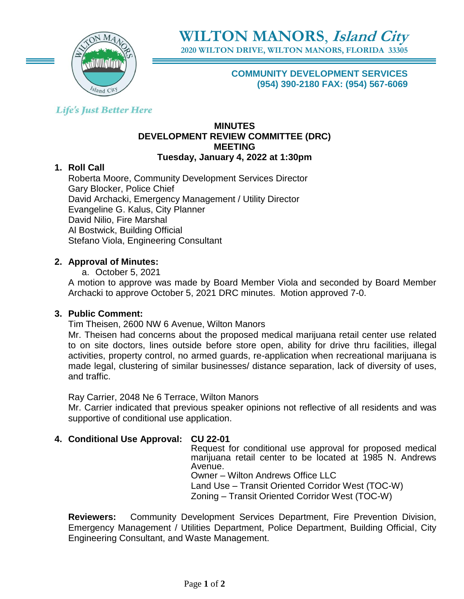

**2020 WILTON DRIVE, WILTON MANORS, FLORIDA 33305**

**COMMUNITY DEVELOPMENT SERVICES (954) 390-2180 FAX: (954) 567-6069**

# **Life's Just Better Here**

#### **MINUTES DEVELOPMENT REVIEW COMMITTEE (DRC) MEETING Tuesday, January 4, 2022 at 1:30pm**

# **1. Roll Call**

Roberta Moore, Community Development Services Director Gary Blocker, Police Chief David Archacki, Emergency Management / Utility Director Evangeline G. Kalus, City Planner David Nilio, Fire Marshal Al Bostwick, Building Official Stefano Viola, Engineering Consultant

#### **2. Approval of Minutes:**

a. October 5, 2021

A motion to approve was made by Board Member Viola and seconded by Board Member Archacki to approve October 5, 2021 DRC minutes. Motion approved 7-0.

#### **3. Public Comment:**

Tim Theisen, 2600 NW 6 Avenue, Wilton Manors

Mr. Theisen had concerns about the proposed medical marijuana retail center use related to on site doctors, lines outside before store open, ability for drive thru facilities, illegal activities, property control, no armed guards, re-application when recreational marijuana is made legal, clustering of similar businesses/ distance separation, lack of diversity of uses, and traffic.

Ray Carrier, 2048 Ne 6 Terrace, Wilton Manors Mr. Carrier indicated that previous speaker opinions not reflective of all residents and was supportive of conditional use application.

# **4. Conditional Use Approval: CU 22-01**

Request for conditional use approval for proposed medical marijuana retail center to be located at 1985 N. Andrews Avenue. Owner – Wilton Andrews Office LLC Land Use – Transit Oriented Corridor West (TOC-W) Zoning – Transit Oriented Corridor West (TOC-W)

**Reviewers:** Community Development Services Department, Fire Prevention Division, Emergency Management / Utilities Department, Police Department, Building Official, City Engineering Consultant, and Waste Management.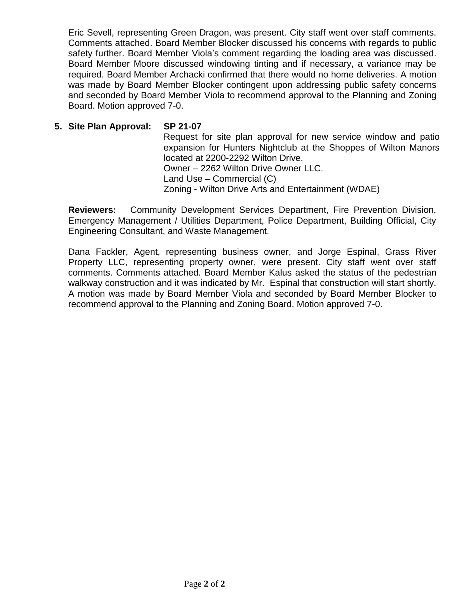Eric Sevell, representing Green Dragon, was present. City staff went over staff comments. Comments attached. Board Member Blocker discussed his concerns with regards to public safety further. Board Member Viola's comment regarding the loading area was discussed. Board Member Moore discussed windowing tinting and if necessary, a variance may be required. Board Member Archacki confirmed that there would no home deliveries. A motion was made by Board Member Blocker contingent upon addressing public safety concerns and seconded by Board Member Viola to recommend approval to the Planning and Zoning Board. Motion approved 7-0.

#### **5. Site Plan Approval: SP 21-07**

Request for site plan approval for new service window and patio expansion for Hunters Nightclub at the Shoppes of Wilton Manors located at 2200-2292 Wilton Drive. Owner – 2262 Wilton Drive Owner LLC. Land Use – Commercial (C) Zoning - Wilton Drive Arts and Entertainment (WDAE)

**Reviewers:** Community Development Services Department, Fire Prevention Division, Emergency Management / Utilities Department, Police Department, Building Official, City Engineering Consultant, and Waste Management.

Dana Fackler, Agent, representing business owner, and Jorge Espinal, Grass River Property LLC, representing property owner, were present. City staff went over staff comments. Comments attached. Board Member Kalus asked the status of the pedestrian walkway construction and it was indicated by Mr. Espinal that construction will start shortly. A motion was made by Board Member Viola and seconded by Board Member Blocker to recommend approval to the Planning and Zoning Board. Motion approved 7-0.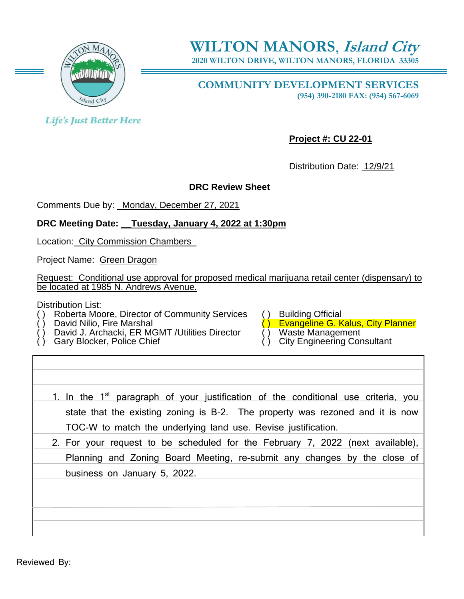

**2020 WILTON DRIVE, WILTON MANORS, FLORIDA 33305**

**COMMUNITY DEVELOPMENT SERVICES (954) 390-2180 FAX: (954) 567-6069**

**Life's Just Better Here** 

**Project #: CU 22-01**

Distribution Date: 12/9/21

# **DRC Review Sheet**

Comments Due by: \_Monday, December 27, 2021

# **DRC Meeting Date: \_\_Tuesday, January 4, 2022 at 1:30pm**

Location: City Commission Chambers\_

Project Name: Green Dragon

Request: Conditional use approval for proposed medical marijuana retail center (dispensary) to be located at 1985 N. Andrews Avenue.

Distribution List:

- Roberta Moore, Director of Community Services () Building Official<br>David Nilio, Fire Marshal<br>C) Evangeline G. K
- 
- David J. Archacki, ER MGMT /Utilities Director Gary Blocker, Police Chief
- 

Evangeline G. Kalus, City Planner<br>Waste Management

- City Engineering Consultant
- 
- 1. In the 1<sup>st</sup> paragraph of your justification of the conditional use criteria, you state that the existing zoning is B-2. The property was rezoned and it is now TOC-W to match the underlying land use. Revise justification.
- 2. For your request to be scheduled for the February 7, 2022 (next available), Planning and Zoning Board Meeting, re-submit any changes by the close of business on January 5, 2022.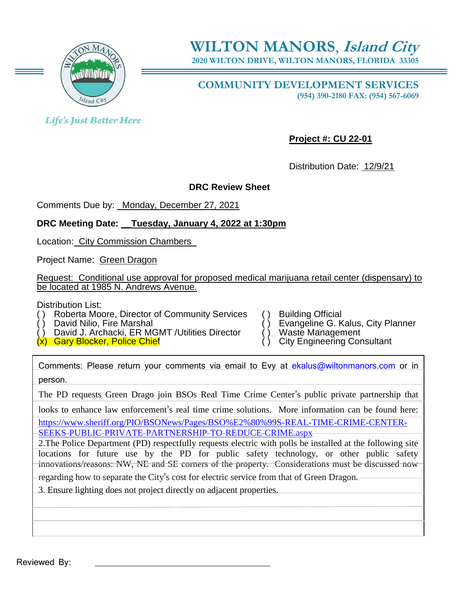

**2020 WILTON DRIVE, WILTON MANORS, FLORIDA 33305**

**COMMUNITY DEVELOPMENT SERVICES (954) 390-2180 FAX: (954) 567-6069**

**Life's Just Better Here** 

**Project #: CU 22-01**

Distribution Date: 12/9/21

# **DRC Review Sheet**

Comments Due by: \_Monday, December 27, 2021

# **DRC Meeting Date: \_\_Tuesday, January 4, 2022 at 1:30pm**

Location: City Commission Chambers\_

Project Name: Green Dragon

Request: Conditional use approval for proposed medical marijuana retail center (dispensary) to be located at 1985 N. Andrews Avenue.

Distribution List:

Roberta Moore, Director of Community Services () Building Official<br>David Nilio, Fire Marshal () Evangeline G. K

David J. Archacki, ER MGMT /Utilities Director ( ) Waste Management<br>
Gary Blocker, Police Chief

 $(x)$  Gary Blocker, Police Chief

Evangeline G. Kalus, City Planner<br>Waste Management

- 
- 

Comments: Please return your comments via email to Evy at [ekalus@wiltonmanors.com](mailto:ekalus@wiltonmanors.com) or in person.

The PD requests Green Drago join BSOs Real Time Crime Center's public private partnership that

looks to enhance law enforcement's real time crime solutions. More information can be found here: [https://www.sheriff.org/PIO/BSONews/Pages/BSO%E2%80%99S-REAL-TIME-CRIME-CENTER-](https://www.sheriff.org/PIO/BSONews/Pages/BSO%E2%80%99S-REAL-TIME-CRIME-CENTER-SEEKS-PUBLIC-PRIVATE-PARTNERSHIP-TO-REDUCE-CRIME.aspx)[SEEKS-PUBLIC-PRIVATE-PARTNERSHIP-TO-REDUCE-CRIME.aspx](https://www.sheriff.org/PIO/BSONews/Pages/BSO%E2%80%99S-REAL-TIME-CRIME-CENTER-SEEKS-PUBLIC-PRIVATE-PARTNERSHIP-TO-REDUCE-CRIME.aspx)

2.The Police Department (PD) respectfully requests electric with polls be installed at the following site locations for future use by the PD for public safety technology, or other public safety innovations/reasons: NW, NE and SE corners of the property. Considerations must be discussed now

regarding how to separate the City's cost for electric service from that of Green Dragon.

3. Ensure lighting does not project directly on adjacent properties.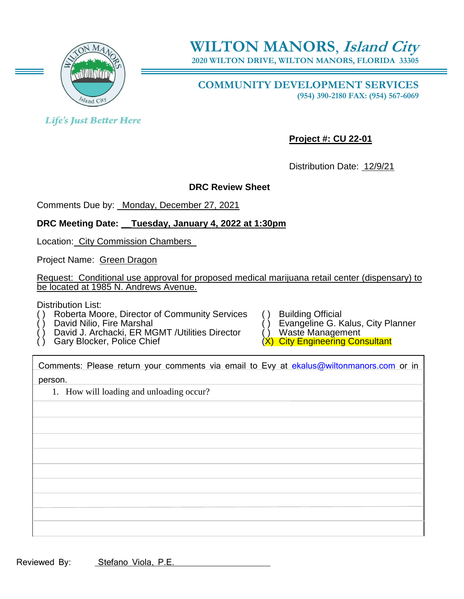

**2020 WILTON DRIVE, WILTON MANORS, FLORIDA 33305**

**COMMUNITY DEVELOPMENT SERVICES (954) 390-2180 FAX: (954) 567-6069**

**Life's Just Better Here** 

**Project #: CU 22-01**

Distribution Date: 12/9/21

#### **DRC Review Sheet**

Comments Due by: \_Monday, December 27, 2021

# **DRC Meeting Date: \_\_Tuesday, January 4, 2022 at 1:30pm**

Location: City Commission Chambers\_

Project Name: Green Dragon

Request: Conditional use approval for proposed medical marijuana retail center (dispensary) to be located at 1985 N. Andrews Avenue.

Distribution List:

- Roberta Moore, Director of Community Services () Building Official<br>David Nilio, Fire Marshal () Evangeline G. K
- 
- David J. Archacki, ER MGMT /Utilities Director Gary Blocker, Police Chief
- 
- 
- Evangeline G. Kalus, City Planner<br>Waste Management
- 
- (X) City Engineering Consultant

Comments: Please return your comments via email to Evy at [ekalus@wiltonmanors.com](mailto:ekalus@wiltonmanors.com) or in person.

1. How will loading and unloading occur?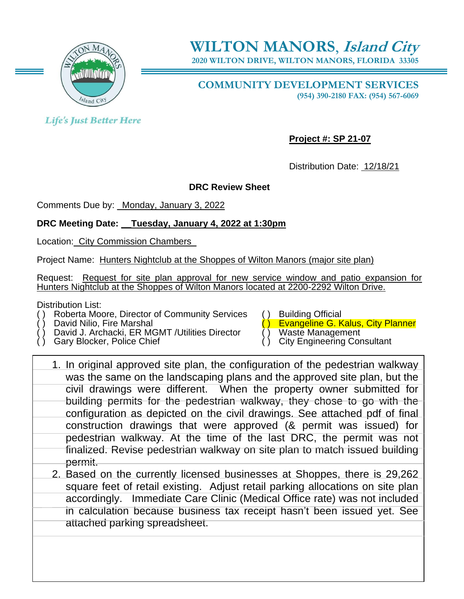

**2020 WILTON DRIVE, WILTON MANORS, FLORIDA 33305**

**COMMUNITY DEVELOPMENT SERVICES (954) 390-2180 FAX: (954) 567-6069**

**Life's Just Better Here** 

**Project #: SP 21-07**

Distribution Date: 12/18/21

# **DRC Review Sheet**

Comments Due by: \_Monday, January 3, 2022

#### **DRC Meeting Date: \_\_Tuesday, January 4, 2022 at 1:30pm**

Location: City Commission Chambers\_

Project Name: Hunters Nightclub at the Shoppes of Wilton Manors (major site plan)

Request: Request for site plan approval for new service window and patio expansion for Hunters Nightclub at the Shoppes of Wilton Manors located at 2200-2292 Wilton Drive.

Distribution List:

Roberta Moore, Director of Community Services () Building Official<br>David Nilio, Fire Marshal<br>C) Evangeline G. K

David J. Archacki, ER MGMT /Utilities Director Gary Blocker, Police Chief

attached parking spreadsheet.

Evangeline G. Kalus, City Planner<br>Waste Management

- 
- City Engineering Consultant
- 1. In original approved site plan, the configuration of the pedestrian walkway was the same on the landscaping plans and the approved site plan, but the civil drawings were different. When the property owner submitted for building permits for the pedestrian walkway, they chose to go with the configuration as depicted on the civil drawings. See attached pdf of final construction drawings that were approved (& permit was issued) for pedestrian walkway. At the time of the last DRC, the permit was not finalized. Revise pedestrian walkway on site plan to match issued building permit. 2. Based on the currently licensed businesses at Shoppes, there is 29,262 square feet of retail existing. Adjust retail parking allocations on site plan accordingly. Immediate Care Clinic (Medical Office rate) was not included

in calculation because business tax receipt hasn't been issued yet. See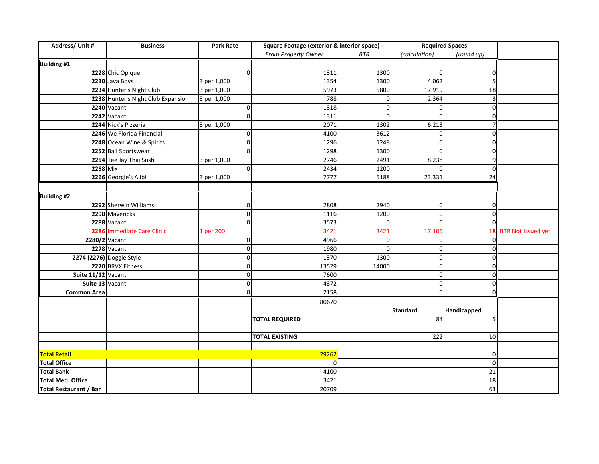| Address/ Unit #               | <b>Business</b>                    | <b>Park Rate</b>    | Square Footage (exterior & interior space) |              | <b>Required Spaces</b> |                |                       |  |
|-------------------------------|------------------------------------|---------------------|--------------------------------------------|--------------|------------------------|----------------|-----------------------|--|
|                               |                                    |                     | From Property Owner                        | <b>BTR</b>   | (calculation)          | (round up)     |                       |  |
| <b>Building #1</b>            |                                    |                     |                                            |              |                        |                |                       |  |
|                               | 2228 Chic Opique                   | $\overline{0}$      | 1311                                       | 1300         | 0                      | $\mathbf 0$    |                       |  |
|                               | 2230 Java Boys                     | 3 per 1,000         | 1354                                       | 1300         | 4.062                  | 5              |                       |  |
|                               | 2234 Hunter's Night Club           | 3 per 1,000         | 5973                                       | 5800         | 17.919                 | 18             |                       |  |
|                               | 2238 Hunter's Night Club Expansion | 3 per 1,000         | 788                                        | 0            | 2.364                  | $\overline{3}$ |                       |  |
|                               | $2240$ Vacant                      | $\overline{0}$      | 1318                                       | $\mathbf 0$  | $\Omega$               | $\Omega$       |                       |  |
|                               | 2242 Vacant                        | $\mathbf{0}$        | 1311                                       | $\mathbf 0$  | O                      | $\Omega$       |                       |  |
|                               | 2244 Nick's Pizzeria               | 3 per 1,000         | 2071                                       | 1302         | 6.213                  |                |                       |  |
|                               | 2246 We Florida Financial          | $\overline{0}$      | 4100                                       | 3612         | $\Omega$               | O              |                       |  |
|                               | 2248 Ocean Wine & Spirits          | $\overline{0}$      | 1296                                       | 1248         | $\Omega$               | $\Omega$       |                       |  |
|                               | 2252 Ball Sportswear               | $\mathbf{0}$        | 1298                                       | 1300         | $\Omega$               | $\Omega$       |                       |  |
|                               | 2254 Tee Jay Thai Sushi            | 3 per 1,000         | 2746                                       | 2491         | 8.238                  | 9              |                       |  |
| 2258 Mix                      |                                    | $\overline{0}$      | 2434                                       | 1200         | $\Omega$               | $\overline{0}$ |                       |  |
|                               | 2266 Georgie's Alibi               | 3 per 1,000         | 7777                                       | 5188         | 23.331                 | 24             |                       |  |
|                               |                                    |                     |                                            |              |                        |                |                       |  |
| <b>Building #2</b>            |                                    |                     |                                            |              |                        |                |                       |  |
|                               | 2292 Sherwin Williams              | 0                   | 2808                                       | 2940         | 0                      | $\mathbf 0$    |                       |  |
|                               | 2290 Mavericks                     | $\mathbf{0}$        | 1116                                       | 1200         | 0                      | $\Omega$       |                       |  |
|                               | 2288 Vacant                        | $\overline{0}$      | 3573                                       | $\mathbf{0}$ | $\Omega$               | $\Omega$       |                       |  |
|                               | 2286 Immediate Care Clinic         | 1 per 200           | 3421                                       | 3421         | 17.105                 |                | 18 BTR Not Issued yet |  |
| 2280/2 Vacant                 |                                    | $\overline{0}$      | 4966                                       | 0            | 0                      | O              |                       |  |
|                               | 2278 Vacant                        | $\mathbf{0}$        | 1980                                       | $\mathbf 0$  | 0                      | n              |                       |  |
|                               | 2274 (2276) Doggie Style           | $\overline{0}$      | 1370                                       | 1300         | ٥l                     | $\Omega$       |                       |  |
|                               | 2270 BRVX Fitness                  | $\pmb{0}$           | 13529                                      | 14000        | 0                      | $\mathbf 0$    |                       |  |
| Suite $11/12$ Vacant          |                                    | $\mathsf{O}\xspace$ | 7600                                       |              | 0                      | $\Omega$       |                       |  |
| Suite 13 Vacant               |                                    | $\overline{0}$      | 4372                                       |              | οl                     | $\Omega$       |                       |  |
| <b>Common Area</b>            |                                    | $\overline{0}$      | 2158                                       |              | οl                     | $\Omega$       |                       |  |
|                               |                                    |                     | 80670                                      |              |                        |                |                       |  |
|                               |                                    |                     |                                            |              | <b>Standard</b>        | Handicapped    |                       |  |
|                               |                                    |                     | <b>TOTAL REQUIRED</b>                      |              | 84                     | 5              |                       |  |
|                               |                                    |                     |                                            |              |                        |                |                       |  |
|                               |                                    |                     | <b>TOTAL EXISTING</b>                      |              | 222                    | 10             |                       |  |
|                               |                                    |                     |                                            |              |                        |                |                       |  |
| <b>Total Retail</b>           |                                    |                     | 29262                                      |              |                        | $\Omega$       |                       |  |
| <b>Total Office</b>           |                                    |                     | 0                                          |              |                        | 0              |                       |  |
| <b>Total Bank</b>             |                                    |                     | 4100                                       |              |                        | 21             |                       |  |
| <b>Total Med. Office</b>      |                                    |                     | 3421                                       |              |                        | 18             |                       |  |
| <b>Total Restaurant / Bar</b> |                                    |                     | 20709                                      |              |                        | 63             |                       |  |